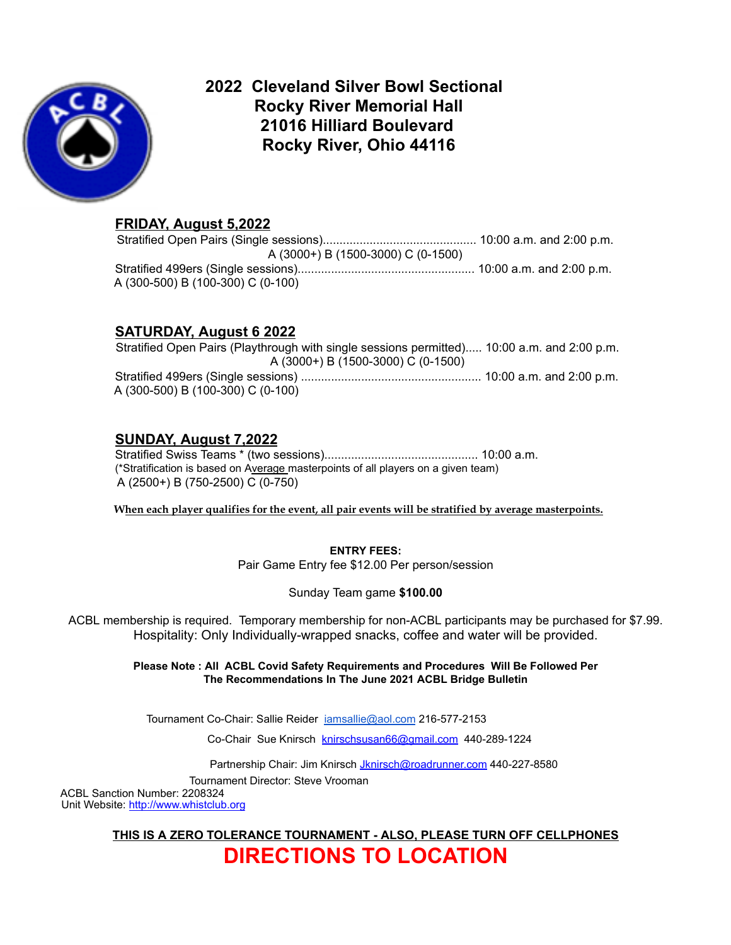

## **2022 Cleveland Silver Bowl Sectional Rocky River Memorial Hall 21016 Hilliard Boulevard Rocky River, Ohio 44116**

## **FRIDAY, August 5,2022**

Stratified Open Pairs (Single sessions).............................................. 10:00 a.m. and 2:00 p.m. A (3000+) B (1500-3000) C (0-1500) Stratified 499ers (Single sessions)..................................................... 10:00 a.m. and 2:00 p.m. A (300-500) B (100-300) C (0-100)

## **SATURDAY, August 6 2022**

Stratified Open Pairs (Playthrough with single sessions permitted)..... 10:00 a.m. and 2:00 p.m. A (3000+) B (1500-3000) C (0-1500) Stratified 499ers (Single sessions) ...................................................... 10:00 a.m. and 2:00 p.m. A (300-500) B (100-300) C (0-100)

## **SUNDAY, August 7,2022**

Stratified Swiss Teams \* (two sessions).............................................. 10:00 a.m. (\*Stratification is based on Average masterpoints of all players on a given team) A (2500+) B (750-2500) C (0-750)

**When each player qualifies for the event, all pair events will be stratified by average masterpoints.**

**ENTRY FEES:**

Pair Game Entry fee \$12.00 Per person/session

Sunday Team game **\$100.00**

ACBL membership is required. Temporary membership for non-ACBL participants may be purchased for \$7.99. Hospitality: Only Individually-wrapped snacks, coffee and water will be provided.

> **Please Note : All ACBL Covid Safety Requirements and Procedures Will Be Followed Per The Recommendations In The June 2021 ACBL Bridge Bulletin**

Tournament Co-Chair: Sallie Reider [iamsallie@aol.com](mailto:iamsallie@aol.com) 216-577-2153

Co-Chair Sue Knirsch [knirschsusan66@gmail.com](mailto:knirschsusan66@gmail.com) 440-289-1224

Partnership Chair: Jim Knirsch *[Jknirsch@roadrunner.com](mailto:Jknirsch@roadrunner.com)* 440-227-8580

Tournament Director: Steve Vrooman

ACBL Sanction Number: 2208324 Unit Website: http://www.whistclub.org

> **THIS IS A ZERO TOLERANCE TOURNAMENT - ALSO, PLEASE TURN OFF CELLPHONES DIRECTIONS TO LOCATION**